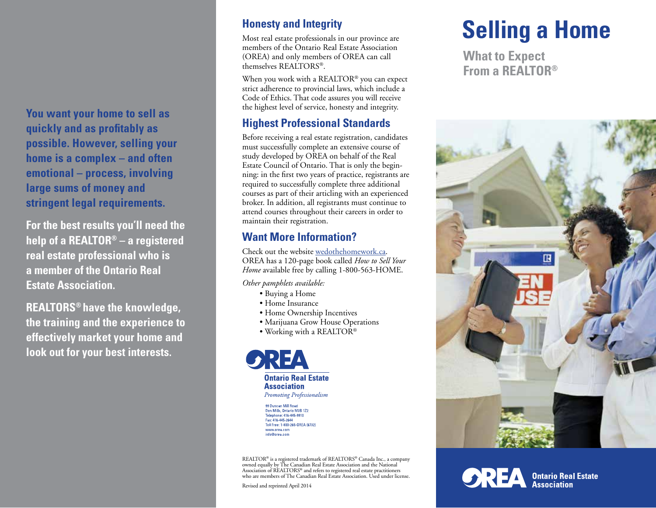**You want your home to sell as quickly and as profitably as possible. However, selling your home is a complex – and often emotional – process, involving large sums of money and stringent legal requirements.**

**For the best results you'll need the help of a REALTOR® – a registered real estate professional who is a member of the Ontario Real Estate Association.**

**REALTORS® have the knowledge, the training and the experience to effectively market your home and look out for your best interests.**

#### **Honesty and Integrity**

Most real estate professionals in our province are members of the Ontario Real Estate Association (OREA) and only members of OREA can call themselves REALTORS®.

When you work with a REALTOR® you can expect strict adherence to provincial laws, which include a Code of Ethics. That code assures you will receive the highest level of service, honesty and integrity.

#### **Highest Professional Standards**

Before receiving a real estate registration, candidates must successfully complete an extensive course of study developed by OREA on behalf of the Real Estate Council of Ontario. That is only the beginning: in the first two years of practice, registrants are required to successfully complete three additional courses as part of their articling with an experienced broker. In addition, all registrants must continue to attend courses throughout their careers in order to maintain their registration.

#### **Want More Information?**

Check out the website wedothehomework.ca. OREA has a 120-page book called *How to Sell Your Home* available free by calling 1-800-563-HOME.

*Other pamphlets available:*

- Buying a Home
- Home Insurance
- Home Ownership Incentives
- Marijuana Grow House Operations
- Working with a REALTOR®



99 Duncan Mill Road<br>Don Mills, Ontario M3B 1Z2<br>Telephone: 416-445-9910 Fax: 416-445-2644 Toll Free: 1-800-265-OREA (6732) www.orea.com info@orea.com

REALTOR® is a registered trademark of REALTORS® Canada Inc., a company<br>owned equally by The Canadian Real Estate Association and the National<br>Association of REALTORS® and refers to registered real estate practitioners who are members of The Canadian Real Estate Association. Used under license.

Revised and reprinted April 2014

# **Selling a Home**

**What to Expect From a REALTOR®**